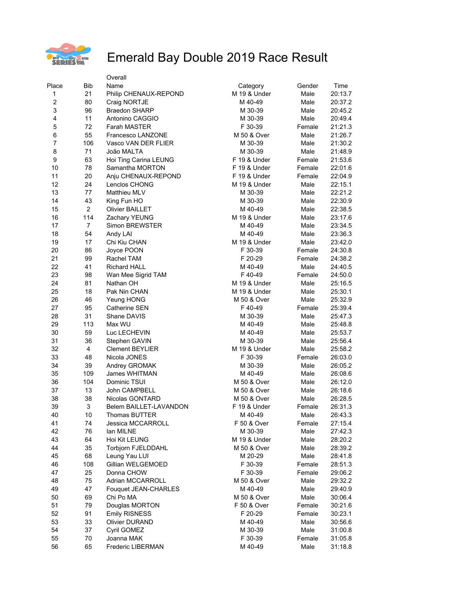

|                  |                | Overall                |              |        |         |
|------------------|----------------|------------------------|--------------|--------|---------|
| Place            | Bib            | Name                   | Category     | Gender | Time    |
| 1                | 21             | Philip CHENAUX-REPOND  | M 19 & Under | Male   | 20:13.7 |
| $\boldsymbol{2}$ | 80             | Craig NORTJE           | M 40-49      | Male   | 20:37.2 |
| 3                | 96             | <b>Braedon SHARP</b>   | M 30-39      | Male   | 20:45.2 |
| 4                | 11             | Antonino CAGGIO        | M 30-39      | Male   | 20:49.4 |
| 5                | 72             | <b>Farah MASTER</b>    | F 30-39      | Female | 21:21.3 |
| 6                | 55             | Francesco LANZONE      | M 50 & Over  | Male   | 21:26.7 |
| $\overline{7}$   | 106            | Vasco VAN DER FLIER    | M 30-39      | Male   | 21:30.2 |
| 8                | 71             | João MALTA             | M 30-39      | Male   | 21:48.9 |
| 9                | 63             | Hoi Ting Carina LEUNG  | F 19 & Under | Female | 21:53.6 |
| 10               | 78             | Samantha MORTON        | F 19 & Under | Female | 22:01.6 |
| 11               | 20             | Anju CHENAUX-REPOND    | F 19 & Under | Female | 22:04.9 |
| 12               | 24             | Lenclos CHONG          | M 19 & Under | Male   | 22:15.1 |
| 13               | 77             | Matthieu MLV           | M 30-39      | Male   | 22:21.2 |
| 14               | 43             | King Fun HO            | M 30-39      | Male   | 22:30.9 |
| 15               | $\overline{2}$ | <b>Olivier BAILLET</b> | M 40-49      | Male   | 22:38.5 |
| 16               | 114            | Zachary YEUNG          | M 19 & Under | Male   | 23:17.6 |
| 17               | 7              | Simon BREWSTER         | M 40-49      | Male   | 23:34.5 |
| 18               | 54             | Andy LAI               | M 40-49      | Male   | 23:36.3 |
| 19               | 17             | Chi Kiu CHAN           | M 19 & Under | Male   | 23:42.0 |
| 20               | 86             | Joyce POON             | F 30-39      | Female | 24:30.8 |
| 21               | 99             | Rachel TAM             | F 20-29      | Female | 24:38.2 |
| 22               | 41             | <b>Richard HALL</b>    | M 40-49      | Male   | 24:40.5 |
| 23               | 98             | Wan Mee Sigrid TAM     | F40-49       | Female | 24:50.0 |
| 24               | 81             | Nathan OH              | M 19 & Under | Male   | 25:16.5 |
| 25               | 18             | Pak Nin CHAN           | M 19 & Under | Male   | 25:30.1 |
| 26               | 46             | Yeung HONG             | M 50 & Over  | Male   | 25:32.9 |
| 27               | 95             | Catherine SEN          | F40-49       | Female | 25:39.4 |
| 28               | 31             | Shane DAVIS            | M 30-39      | Male   | 25:47.3 |
| 29               | 113            | Max WU                 | M 40-49      | Male   | 25:48.8 |
| 30               | 59             | Luc LECHEVIN           | M 40-49      | Male   | 25:53.7 |
| 31               | 36             | Stephen GAVIN          | M 30-39      | Male   | 25:56.4 |
| 32               | 4              | <b>Clement BEYLIER</b> | M 19 & Under | Male   | 25:58.2 |
| 33               | 48             | Nicola JONES           | F 30-39      | Female | 26:03.0 |
| 34               | 39             | Andrey GROMAK          | M 30-39      | Male   | 26:05.2 |
| 35               | 109            | James WHITMAN          | M 40-49      | Male   | 26:08.6 |
| 36               | 104            | Dominic TSUI           | M 50 & Over  | Male   | 26:12.0 |
| 37               | 13             | John CAMPBELL          | M 50 & Over  | Male   | 26:18.6 |
| 38               | 38             | Nicolas GONTARD        | M 50 & Over  | Male   | 26:28.5 |
| 39               | 3              | Belem BAILLET-LAVANDON | F 19 & Under | Female | 26:31.3 |
| 40               | 10             | Thomas BUTTER          | M 40-49      | Male   | 26:43.3 |
| 41               | 74             | Jessica MCCARROLL      | F 50 & Over  | Female | 27:15.4 |
| 42               | 76             | lan MILNE              | M 30-39      | Male   | 27:42.3 |
| 43               | 64             | Hoi Kit LEUNG          | M 19 & Under | Male   | 28:20.2 |
| 44               | 35             | Torbjorn FJELDDAHL     | M 50 & Over  | Male   | 28:39.2 |
| 45               | 68             | Leung Yau LUI          | M 20-29      | Male   | 28:41.8 |
| 46               | 108            | Gillian WELGEMOED      | F 30-39      | Female | 28:51.3 |
| 47               | 25             | Donna CHOW             | F 30-39      | Female | 29:06.2 |
| 48               | 75             | Adrian MCCARROLL       | M 50 & Over  | Male   | 29:32.2 |
| 49               | 47             | Fouquet JEAN-CHARLES   | M 40-49      | Male   | 29:40.9 |
| 50               | 69             | Chi Po MA              | M 50 & Over  | Male   | 30:06.4 |
| 51               | 79             | Douglas MORTON         | F 50 & Over  | Female | 30:21.6 |
| 52               | 91             | <b>Emily RISNESS</b>   | F 20-29      | Female | 30:23.1 |
| 53               | 33             | <b>Olivier DURAND</b>  | M 40-49      | Male   | 30:56.6 |
| 54               | 37             | Cyril GOMEZ            | M 30-39      | Male   | 31:00.8 |
| 55               | 70             | Joanna MAK             | F 30-39      | Female | 31:05.8 |
| 56               | 65             | Frederic LIBERMAN      | M 40-49      | Male   | 31:18.8 |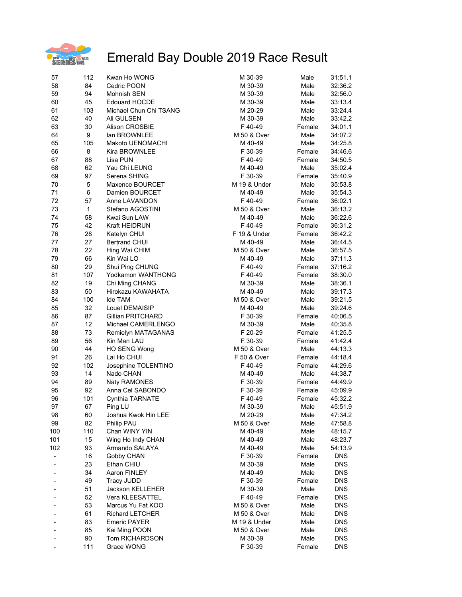

| 57  | 112          | Kwan Ho WONG           | M 30-39      | Male   | 31:51.1    |
|-----|--------------|------------------------|--------------|--------|------------|
| 58  | 84           | Cedric POON            | M 30-39      | Male   | 32:36.2    |
| 59  | 94           | Mohnish SEN            | M 30-39      | Male   | 32:56.0    |
| 60  | 45           | <b>Edouard HOCDE</b>   | M 30-39      | Male   | 33:13.4    |
| 61  | 103          | Michael Chun Chi TSANG | M 20-29      | Male   | 33:24.4    |
| 62  | 40           | Ali GULSEN             | M 30-39      | Male   | 33:42.2    |
| 63  | 30           | <b>Alison CROSBIE</b>  | F40-49       | Female | 34:01.1    |
| 64  | 9            | lan BROWNLEE           | M 50 & Over  | Male   | 34:07.2    |
| 65  | 105          | Makoto UENOMACHI       | M 40-49      | Male   | 34:25.8    |
| 66  | 8            | Kira BROWNLEE          | F 30-39      | Female | 34:46.6    |
| 67  | 88           | Lisa PUN               | F40-49       | Female | 34:50.5    |
| 68  | 62           | Yau Chi LEUNG          | M 40-49      | Male   | 35:02.4    |
| 69  | 97           | Serena SHING           | F 30-39      | Female | 35:40.9    |
| 70  | 5            | Maxence BOURCET        | M 19 & Under | Male   | 35:53.8    |
| 71  | 6            | Damien BOURCET         | M 40-49      | Male   | 35:54.3    |
| 72  | 57           | Anne LAVANDON          | F40-49       | Female | 36:02.1    |
| 73  | $\mathbf{1}$ | Stefano AGOSTINI       | M 50 & Over  | Male   | 36:13.2    |
| 74  | 58           | Kwai Sun LAW           | M 40-49      | Male   | 36:22.6    |
| 75  | 42           | Kraft HEIDRUN          | F 40-49      | Female | 36:31.2    |
| 76  | 28           | Katelyn CHUI           | F 19 & Under | Female | 36:42.2    |
| 77  | 27           | <b>Bertrand CHUI</b>   | M 40-49      | Male   | 36:44.5    |
| 78  | 22           |                        | M 50 & Over  | Male   |            |
| 79  | 66           | Hing Wai CHIM          |              | Male   | 36:57.5    |
|     |              | Kin Wai LO             | M 40-49      |        | 37:11.3    |
| 80  | 29           | Shui Ping CHUNG        | F40-49       | Female | 37:16.2    |
| 81  | 107          | Yodkamon WANTHONG      | F 40-49      | Female | 38:30.0    |
| 82  | 19           | Chi Ming CHANG         | M 30-39      | Male   | 38:36.1    |
| 83  | 50           | Hirokazu KAWAHATA      | M 40-49      | Male   | 39:17.3    |
| 84  | 100          | Ide TAM                | M 50 & Over  | Male   | 39:21.5    |
| 85  | 32           | Louel DEMAISIP         | M 40-49      | Male   | 39:24.6    |
| 86  | 87           | Gillian PRITCHARD      | F 30-39      | Female | 40:06.5    |
| 87  | 12           | Michael CAMERLENGO     | M 30-39      | Male   | 40:35.8    |
| 88  | 73           | Remielyn MATAGANAS     | F 20-29      | Female | 41:25.5    |
| 89  | 56           | Kin Man LAU            | F 30-39      | Female | 41:42.4    |
| 90  | 44           | <b>HO SENG Wong</b>    | M 50 & Over  | Male   | 44:13.3    |
| 91  | 26           | Lai Ho CHUI            | F 50 & Over  | Female | 44:18.4    |
| 92  | 102          | Josephine TOLENTINO    | F40-49       | Female | 44:29.6    |
| 93  | 14           | Nado CHAN              | M 40-49      | Male   | 44:38.7    |
| 94  | 89           | <b>Naty RAMONES</b>    | F 30-39      | Female | 44:49.9    |
| 95  | 92           | Anna Cel SABONDO       | F 30-39      | Female | 45:09.9    |
| 96  | 101          | Cynthia TARNATE        | F 40-49      | Female | 45:32.2    |
| 97  | 67           | Ping LU                | M 30-39      | Male   | 45:51.9    |
| 98  | 60           | Joshua Kwok Hin LEE    | M 20-29      | Male   | 47:34.2    |
| 99  | 82           | Philip PAU             | M 50 & Over  | Male   | 47:58.8    |
| 100 | 110          | Chan WINY YIN          | M 40-49      | Male   | 48:15.7    |
| 101 | 15           | Wing Ho Indy CHAN      | M 40-49      | Male   | 48:23.7    |
| 102 | 93           | Armando SALAYA         | M 40-49      | Male   | 54:13.9    |
|     | 16           | Gobby CHAN             | F 30-39      | Female | <b>DNS</b> |
|     | 23           | Ethan CHIU             | M 30-39      | Male   | <b>DNS</b> |
|     | 34           | Aaron FINLEY           | M 40-49      | Male   | <b>DNS</b> |
|     | 49           | <b>Tracy JUDD</b>      | F 30-39      | Female | <b>DNS</b> |
|     | 51           | Jackson KELLEHER       | M 30-39      | Male   | <b>DNS</b> |
|     | 52           | Vera KLEESATTEL        | F 40-49      | Female | <b>DNS</b> |
|     | 53           | Marcus Yu Fat KOO      | M 50 & Over  | Male   | <b>DNS</b> |
|     | 61           | <b>Richard LETCHER</b> | M 50 & Over  | Male   | <b>DNS</b> |
|     | 83           | <b>Emeric PAYER</b>    | M 19 & Under | Male   | <b>DNS</b> |
|     | 85           | Kai Ming POON          | M 50 & Over  | Male   | <b>DNS</b> |
|     | 90           | Tom RICHARDSON         | M 30-39      | Male   | <b>DNS</b> |
|     | 111          | Grace WONG             | F 30-39      | Female | <b>DNS</b> |
|     |              |                        |              |        |            |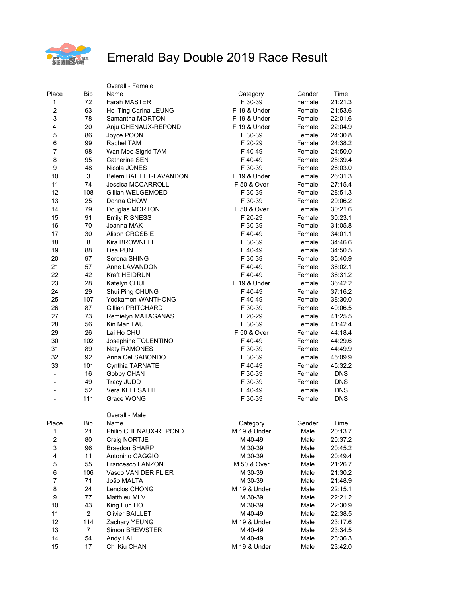

|                          |                | Overall - Female         |              |        |            |
|--------------------------|----------------|--------------------------|--------------|--------|------------|
| Place                    | <b>Bib</b>     | Name                     | Category     | Gender | Time       |
| 1                        | 72             | <b>Farah MASTER</b>      | F 30-39      | Female | 21:21.3    |
| $\boldsymbol{2}$         | 63             | Hoi Ting Carina LEUNG    | F 19 & Under | Female | 21:53.6    |
| 3                        | 78             | Samantha MORTON          | F 19 & Under | Female | 22:01.6    |
| 4                        | 20             | Anju CHENAUX-REPOND      | F 19 & Under | Female | 22:04.9    |
| 5                        | 86             | Joyce POON               | F 30-39      | Female | 24:30.8    |
| 6                        | 99             | Rachel TAM               | F 20-29      | Female | 24:38.2    |
| $\overline{7}$           | 98             | Wan Mee Sigrid TAM       | F 40-49      | Female | 24:50.0    |
| 8                        | 95             | Catherine SEN            | F40-49       | Female | 25:39.4    |
| 9                        | 48             | Nicola JONES             | F 30-39      | Female | 26:03.0    |
| 10                       | 3              | Belem BAILLET-LAVANDON   | F 19 & Under | Female | 26:31.3    |
| 11                       | 74             | <b>Jessica MCCARROLL</b> | F 50 & Over  | Female | 27:15.4    |
| 12                       | 108            | Gillian WELGEMOED        | F 30-39      | Female | 28:51.3    |
| 13                       | 25             | Donna CHOW               | F 30-39      | Female | 29:06.2    |
| 14                       | 79             | Douglas MORTON           | F 50 & Over  | Female | 30:21.6    |
| 15                       | 91             | <b>Emily RISNESS</b>     | F 20-29      | Female | 30:23.1    |
| 16                       | 70             | Joanna MAK               | F 30-39      | Female | 31:05.8    |
| 17                       | 30             | Alison CROSBIE           | F 40-49      | Female | 34:01.1    |
| 18                       | $\, 8$         | <b>Kira BROWNLEE</b>     | F 30-39      | Female | 34:46.6    |
| 19                       | 88             | Lisa PUN                 | F 40-49      | Female | 34:50.5    |
| 20                       | 97             | Serena SHING             | F 30-39      | Female | 35:40.9    |
| 21                       | 57             | Anne LAVANDON            | F40-49       | Female | 36:02.1    |
| 22                       | 42             | <b>Kraft HEIDRUN</b>     | F40-49       | Female | 36:31.2    |
| 23                       | 28             | Katelyn CHUI             | F 19 & Under | Female | 36:42.2    |
| 24                       | 29             | Shui Ping CHUNG          | F 40-49      | Female | 37:16.2    |
| 25                       | 107            | Yodkamon WANTHONG        | F40-49       | Female | 38:30.0    |
| 26                       | 87             | <b>Gillian PRITCHARD</b> | F 30-39      | Female | 40:06.5    |
| 27                       | 73             | Remielyn MATAGANAS       | F 20-29      | Female | 41:25.5    |
| 28                       | 56             | Kin Man LAU              | F 30-39      | Female | 41:42.4    |
| 29                       | 26             | Lai Ho CHUI              | F 50 & Over  | Female | 44:18.4    |
| 30                       | 102            | Josephine TOLENTINO      | F 40-49      | Female | 44:29.6    |
| 31                       | 89             | Naty RAMONES             | F 30-39      | Female | 44:49.9    |
| 32                       | 92             | Anna Cel SABONDO         | F 30-39      | Female | 45:09.9    |
| 33                       | 101            | Cynthia TARNATE          | F 40-49      | Female | 45:32.2    |
| $\overline{\phantom{a}}$ | 16             | Gobby CHAN               | F 30-39      | Female | <b>DNS</b> |
| $\overline{\phantom{0}}$ | 49             | <b>Tracy JUDD</b>        | F 30-39      | Female | <b>DNS</b> |
|                          | 52             | <b>Vera KLEESATTEL</b>   | F40-49       | Female | <b>DNS</b> |
|                          | 111            | Grace WONG               | F 30-39      | Female | DNS        |
|                          |                |                          |              |        |            |
| Place                    | Bib            | Overall - Male<br>Name   | Category     | Gender | Time       |
| $\mathbf{1}$             | 21             | Philip CHENAUX-REPOND    | M 19 & Under | Male   | 20:13.7    |
| $\boldsymbol{2}$         | 80             | Craig NORTJE             | M 40-49      | Male   | 20:37.2    |
| 3                        | 96             | <b>Braedon SHARP</b>     | M 30-39      | Male   | 20:45.2    |
| 4                        | 11             | Antonino CAGGIO          | M 30-39      | Male   | 20:49.4    |
| 5                        | 55             | Francesco LANZONE        | M 50 & Over  | Male   | 21:26.7    |
| 6                        | 106            | Vasco VAN DER FLIER      | M 30-39      | Male   | 21:30.2    |
| 7                        | 71             | João MALTA               | M 30-39      | Male   | 21:48.9    |
| 8                        | 24             | Lenclos CHONG            | M 19 & Under | Male   | 22:15.1    |
| 9                        | 77             | Matthieu MLV             | M 30-39      | Male   | 22:21.2    |
| 10                       | 43             | King Fun HO              | M 30-39      | Male   | 22:30.9    |
| 11                       | $\overline{a}$ | Olivier BAILLET          | M 40-49      | Male   | 22:38.5    |
| 12                       | 114            | Zachary YEUNG            | M 19 & Under | Male   | 23:17.6    |
| 13                       | 7              | Simon BREWSTER           | M 40-49      | Male   | 23:34.5    |
| 14                       | 54             | Andy LAI                 | M 40-49      | Male   | 23:36.3    |
| 15                       | 17             | Chi Kiu CHAN             | M 19 & Under | Male   | 23:42.0    |
|                          |                |                          |              |        |            |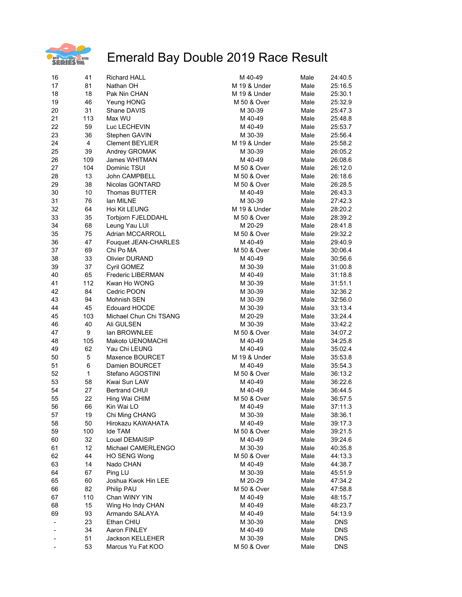

| 16 | 41           | <b>Richard HALL</b>       | M 40-49      | Male | 24:40.5    |
|----|--------------|---------------------------|--------------|------|------------|
| 17 | 81           | Nathan OH                 | M 19 & Under | Male | 25:16.5    |
| 18 | 18           | Pak Nin CHAN              | M 19 & Under | Male | 25:30.1    |
| 19 | 46           | Yeung HONG                | M 50 & Over  | Male | 25:32.9    |
| 20 | 31           | Shane DAVIS               | M 30-39      | Male | 25:47.3    |
| 21 | 113          | Max WU                    | M 40-49      | Male | 25:48.8    |
| 22 | 59           | Luc LECHEVIN              | M 40-49      | Male | 25:53.7    |
| 23 | 36           | Stephen GAVIN             | M 30-39      | Male | 25:56.4    |
|    |              |                           |              |      |            |
| 24 | 4            | <b>Clement BEYLIER</b>    | M 19 & Under | Male | 25:58.2    |
| 25 | 39           | Andrey GROMAK             | M 30-39      | Male | 26:05.2    |
| 26 | 109          | James WHITMAN             | M 40-49      | Male | 26:08.6    |
| 27 | 104          | Dominic TSUI              | M 50 & Over  | Male | 26:12.0    |
| 28 | 13           | John CAMPBELL             | M 50 & Over  | Male | 26:18.6    |
| 29 | 38           | Nicolas GONTARD           | M 50 & Over  | Male | 26:28.5    |
| 30 | 10           | <b>Thomas BUTTER</b>      | M 40-49      | Male | 26:43.3    |
| 31 | 76           | lan MILNE                 | M 30-39      | Male | 27:42.3    |
| 32 | 64           | Hoi Kit LEUNG             | M 19 & Under | Male | 28:20.2    |
| 33 | 35           | <b>Torbjorn FJELDDAHL</b> | M 50 & Over  | Male | 28:39.2    |
| 34 | 68           | Leung Yau LUI             | M 20-29      | Male | 28:41.8    |
| 35 | 75           | Adrian MCCARROLL          | M 50 & Over  | Male | 29:32.2    |
| 36 | 47           | Fouquet JEAN-CHARLES      | M 40-49      | Male | 29:40.9    |
| 37 | 69           | Chi Po MA                 | M 50 & Over  | Male | 30:06.4    |
| 38 | 33           | <b>Olivier DURAND</b>     | M 40-49      | Male | 30:56.6    |
| 39 | 37           | Cyril GOMEZ               | M 30-39      | Male | 31:00.8    |
| 40 | 65           | <b>Frederic LIBERMAN</b>  | M 40-49      | Male | 31:18.8    |
|    |              |                           |              |      |            |
| 41 | 112          | Kwan Ho WONG              | M 30-39      | Male | 31:51.1    |
| 42 | 84           | Cedric POON               | M 30-39      | Male | 32:36.2    |
| 43 | 94           | Mohnish SEN               | M 30-39      | Male | 32:56.0    |
| 44 | 45           | <b>Edouard HOCDE</b>      | M 30-39      | Male | 33:13.4    |
| 45 | 103          | Michael Chun Chi TSANG    | M 20-29      | Male | 33:24.4    |
| 46 | 40           | Ali GULSEN                | M 30-39      | Male | 33:42.2    |
| 47 | 9            | lan BROWNLEE              | M 50 & Over  | Male | 34:07.2    |
| 48 | 105          | Makoto UENOMACHI          | M 40-49      | Male | 34:25.8    |
| 49 | 62           | Yau Chi LEUNG             | M 40-49      | Male | 35:02.4    |
| 50 | 5            | Maxence BOURCET           | M 19 & Under | Male | 35:53.8    |
| 51 | 6            | Damien BOURCET            | M 40-49      | Male | 35:54.3    |
| 52 | $\mathbf{1}$ | Stefano AGOSTINI          | M 50 & Over  | Male | 36:13.2    |
| 53 | 58           | Kwai Sun LAW              | M 40-49      | Male | 36:22.6    |
| 54 | 27           | <b>Bertrand CHUI</b>      | M 40-49      | Male | 36:44.5    |
| 55 | 22           | Hing Wai CHIM             | M 50 & Over  | Male | 36:57.5    |
| 56 | 66           | Kin Wai LO                | M 40-49      | Male | 37:11.3    |
| 57 | 19           | Chi Ming CHANG            | M 30-39      | Male | 38:36.1    |
| 58 | 50           | Hirokazu KAWAHATA         | M 40-49      | Male | 39:17.3    |
| 59 | 100          | Ide TAM                   | M 50 & Over  | Male | 39:21.5    |
| 60 | 32           | Louel DEMAISIP            | M 40-49      | Male | 39:24.6    |
|    | 12           |                           |              |      |            |
| 61 |              | Michael CAMERLENGO        | M 30-39      | Male | 40:35.8    |
| 62 | 44           | <b>HO SENG Wong</b>       | M 50 & Over  | Male | 44:13.3    |
| 63 | 14           | Nado CHAN                 | M 40-49      | Male | 44:38.7    |
| 64 | 67           | Ping LU                   | M 30-39      | Male | 45:51.9    |
| 65 | 60           | Joshua Kwok Hin LEE       | M 20-29      | Male | 47:34.2    |
| 66 | 82           | Philip PAU                | M 50 & Over  | Male | 47:58.8    |
| 67 | 110          | Chan WINY YIN             | M 40-49      | Male | 48:15.7    |
| 68 | 15           | Wing Ho Indy CHAN         | M 40-49      | Male | 48:23.7    |
| 69 | 93           | Armando SALAYA            | M 40-49      | Male | 54:13.9    |
|    | 23           | Ethan CHIU                | M 30-39      | Male | <b>DNS</b> |
|    | 34           | Aaron FINLEY              | M 40-49      | Male | <b>DNS</b> |
|    | 51           | Jackson KELLEHER          | M 30-39      | Male | DNS        |
|    | 53           | Marcus Yu Fat KOO         | M 50 & Over  | Male | <b>DNS</b> |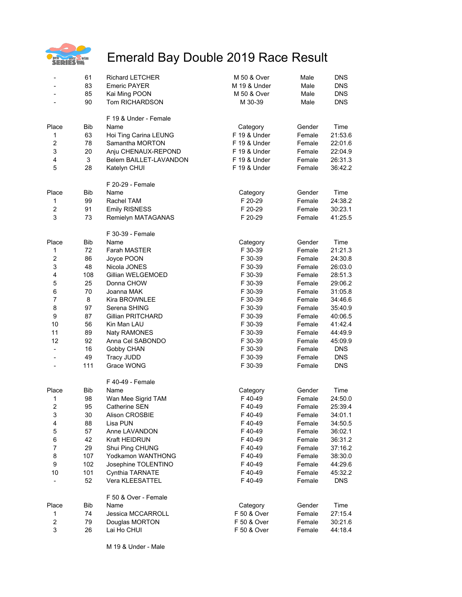

| $\qquad \qquad \blacksquare$ | 61         | <b>Richard LETCHER</b>   | M 50 & Over  | Male   | <b>DNS</b> |
|------------------------------|------------|--------------------------|--------------|--------|------------|
|                              | 83         | <b>Emeric PAYER</b>      | M 19 & Under | Male   | <b>DNS</b> |
| $\overline{\phantom{a}}$     | 85         | Kai Ming POON            | M 50 & Over  | Male   | <b>DNS</b> |
|                              | 90         | Tom RICHARDSON           | M 30-39      | Male   | <b>DNS</b> |
|                              |            | F 19 & Under - Female    |              |        |            |
| Place                        | <b>Bib</b> | Name                     | Category     | Gender | Time       |
| 1                            | 63         | Hoi Ting Carina LEUNG    | F 19 & Under | Female | 21:53.6    |
| $\overline{c}$               | 78         | Samantha MORTON          | F 19 & Under | Female | 22:01.6    |
| 3                            | 20         | Anju CHENAUX-REPOND      | F 19 & Under | Female | 22:04.9    |
| $\overline{\mathbf{4}}$      | 3          | Belem BAILLET-LAVANDON   | F 19 & Under | Female | 26:31.3    |
| 5                            | 28         | Katelyn CHUI             | F 19 & Under | Female | 36:42.2    |
|                              |            | F 20-29 - Female         |              |        |            |
| Place                        | Bib        | Name                     | Category     | Gender | Time       |
| 1                            | 99         | Rachel TAM               | F 20-29      | Female | 24:38.2    |
| $\overline{c}$               | 91         | <b>Emily RISNESS</b>     | F 20-29      | Female | 30:23.1    |
| 3                            | 73         | Remielyn MATAGANAS       | F 20-29      | Female | 41:25.5    |
|                              |            | F 30-39 - Female         |              |        |            |
| Place                        | Bib        | Name                     | Category     | Gender | Time       |
| 1                            | 72         | Farah MASTER             | F 30-39      | Female | 21:21.3    |
| $\overline{c}$               | 86         | Joyce POON               | F 30-39      | Female | 24:30.8    |
| 3                            | 48         | Nicola JONES             | F 30-39      | Female | 26:03.0    |
| 4                            | 108        | Gillian WELGEMOED        | F 30-39      | Female | 28:51.3    |
| 5                            | 25         | Donna CHOW               | F 30-39      | Female | 29:06.2    |
| 6                            | 70         | Joanna MAK               | F 30-39      | Female | 31:05.8    |
| $\overline{7}$               | 8          | Kira BROWNLEE            | F 30-39      | Female | 34:46.6    |
| 8                            | 97         | Serena SHING             | F 30-39      | Female | 35:40.9    |
| 9                            | 87         | <b>Gillian PRITCHARD</b> | F 30-39      | Female | 40:06.5    |
| 10                           | 56         | Kin Man LAU              | F 30-39      | Female | 41:42.4    |
| 11                           | 89         | <b>Naty RAMONES</b>      | F 30-39      | Female | 44:49.9    |
| 12                           | 92         | Anna Cel SABONDO         | F 30-39      | Female | 45:09.9    |
| $\overline{\phantom{a}}$     | 16         | Gobby CHAN               | F 30-39      | Female | <b>DNS</b> |
|                              | 49         | <b>Tracy JUDD</b>        | F 30-39      | Female | <b>DNS</b> |
|                              | 111        | Grace WONG               | F 30-39      | Female | <b>DNS</b> |
|                              |            | F 40-49 - Female         |              |        |            |
| Place                        | <b>Bib</b> | Name                     | Category     | Gender | Time       |
| 1                            | 98         | Wan Mee Sigrid TAM       | F 40-49      | Female | 24:50.0    |
| $\overline{c}$               | 95         | Catherine SEN            | F40-49       | Female | 25:39.4    |
| 3                            | 30         | Alison CROSBIE           | F40-49       | Female | 34:01.1    |
| 4                            | 88         | Lisa PUN                 | F 40-49      | Female | 34:50.5    |
| 5                            | 57         | Anne LAVANDON            | F40-49       | Female | 36:02.1    |
| 6                            | 42         | <b>Kraft HEIDRUN</b>     | F 40-49      | Female | 36:31.2    |
| $\boldsymbol{7}$             | 29         | Shui Ping CHUNG          | F 40-49      | Female | 37:16.2    |
| 8                            | 107        | Yodkamon WANTHONG        | F40-49       | Female | 38:30.0    |
| 9                            | 102        | Josephine TOLENTINO      | F 40-49      | Female | 44:29.6    |
| 10                           | 101        | Cynthia TARNATE          | F 40-49      | Female | 45:32.2    |
|                              | 52         | Vera KLEESATTEL          | F40-49       | Female | <b>DNS</b> |
|                              |            | F 50 & Over - Female     |              |        |            |
| Place                        | Bib        | Name                     | Category     | Gender | Time       |
| 1                            | 74         | Jessica MCCARROLL        | F 50 & Over  | Female | 27:15.4    |
| $\overline{\mathbf{c}}$      | 79         | Douglas MORTON           | F 50 & Over  | Female | 30:21.6    |
| 3                            | 26         | Lai Ho CHUI              | F 50 & Over  | Female | 44:18.4    |
|                              |            |                          |              |        |            |

M 19 & Under - Male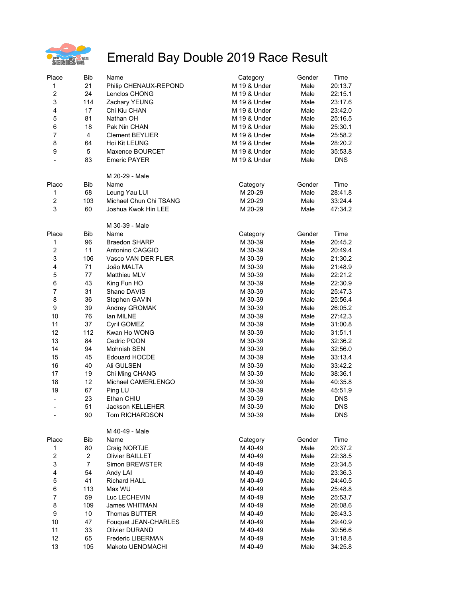

| Place                    | <b>Bib</b>     | Name                    | Category     | Gender | Time       |
|--------------------------|----------------|-------------------------|--------------|--------|------------|
| 1                        | 21             | Philip CHENAUX-REPOND   | M 19 & Under | Male   | 20:13.7    |
| $\overline{\mathbf{c}}$  | 24             | Lenclos CHONG           | M 19 & Under | Male   | 22:15.1    |
| 3                        | 114            | Zachary YEUNG           | M 19 & Under | Male   | 23:17.6    |
| $\overline{\mathbf{4}}$  | 17             | Chi Kiu CHAN            | M 19 & Under | Male   | 23:42.0    |
| 5                        | 81             | Nathan OH               | M 19 & Under | Male   | 25:16.5    |
| $\,6$                    | 18             | Pak Nin CHAN            | M 19 & Under | Male   | 25:30.1    |
| $\overline{7}$           | 4              | <b>Clement BEYLIER</b>  | M 19 & Under | Male   | 25:58.2    |
| 8                        | 64             | Hoi Kit LEUNG           | M 19 & Under | Male   | 28:20.2    |
| 9                        | 5              | Maxence BOURCET         | M 19 & Under | Male   | 35:53.8    |
| $\overline{\phantom{0}}$ | 83             | <b>Emeric PAYER</b>     | M 19 & Under | Male   | <b>DNS</b> |
|                          |                | M 20-29 - Male          |              |        |            |
| Place                    | Bib            | Name                    | Category     | Gender | Time       |
| 1                        | 68             | Leung Yau LUI           | M 20-29      | Male   | 28:41.8    |
| $\overline{\mathbf{c}}$  | 103            | Michael Chun Chi TSANG  | M 20-29      | Male   | 33:24.4    |
| 3                        | 60             | Joshua Kwok Hin LEE     | M 20-29      | Male   | 47:34.2    |
|                          |                | M 30-39 - Male          |              |        |            |
| Place                    | <b>Bib</b>     | Name                    | Category     | Gender | Time       |
| 1                        | 96             | <b>Braedon SHARP</b>    | M 30-39      | Male   | 20:45.2    |
| $\overline{c}$           | 11             | Antonino CAGGIO         | M 30-39      | Male   | 20:49.4    |
| 3                        | 106            | Vasco VAN DER FLIER     | M 30-39      | Male   | 21:30.2    |
| $\overline{\mathbf{4}}$  | 71             | João MALTA              | M 30-39      | Male   | 21:48.9    |
| 5                        | 77             | Matthieu MLV            | M 30-39      | Male   | 22:21.2    |
| 6                        | 43             | King Fun HO             | M 30-39      | Male   | 22:30.9    |
| $\overline{7}$           | 31             | Shane DAVIS             | M 30-39      | Male   | 25:47.3    |
| 8                        | 36             | Stephen GAVIN           | M 30-39      | Male   | 25:56.4    |
| $\boldsymbol{9}$         | 39             | Andrey GROMAK           | M 30-39      | Male   | 26:05.2    |
| 10                       | 76             | lan MILNE               | M 30-39      | Male   | 27:42.3    |
| 11                       | 37             | Cyril GOMEZ             | M 30-39      | Male   | 31:00.8    |
| 12                       | 112            | Kwan Ho WONG            | M 30-39      | Male   | 31:51.1    |
| 13                       | 84             | Cedric POON             | M 30-39      | Male   | 32:36.2    |
| 14                       | 94             | Mohnish SEN             | M 30-39      | Male   | 32:56.0    |
| 15                       | 45             | <b>Edouard HOCDE</b>    | M 30-39      | Male   | 33:13.4    |
| 16                       | 40             | Ali GULSEN              | M 30-39      | Male   | 33:42.2    |
| 17                       | 19             | Chi Ming CHANG          | M 30-39      | Male   | 38:36.1    |
| 18                       | 12             | Michael CAMERLENGO      | M 30-39      | Male   | 40:35.8    |
| 19                       | 67             | Ping LU                 | M 30-39      | Male   | 45:51.9    |
| -                        | 23             | Ethan CHIU              | M 30-39      | Male   | DNS        |
| $\blacksquare$           | 51             | <b>Jackson KELLEHER</b> | M 30-39      | Male   | DNS        |
|                          | 90             | Tom RICHARDSON          | M 30-39      | Male   | <b>DNS</b> |
|                          |                | M 40-49 - Male          |              |        |            |
| Place                    | Bib            | Name                    | Category     | Gender | Time       |
| 1                        | 80             | Craig NORTJE            | M 40-49      | Male   | 20:37.2    |
| $\overline{\mathbf{c}}$  | 2              | <b>Olivier BAILLET</b>  | M 40-49      | Male   | 22:38.5    |
| 3                        | $\overline{7}$ | Simon BREWSTER          | M 40-49      | Male   | 23:34.5    |
| $\overline{\mathbf{4}}$  | 54             | Andy LAI                | M 40-49      | Male   | 23:36.3    |
| $\mathbf 5$              | 41             | <b>Richard HALL</b>     | M 40-49      | Male   | 24:40.5    |
| 6                        | 113            | Max WU                  | M 40-49      | Male   | 25:48.8    |
| $\overline{7}$           | 59             | Luc LECHEVIN            | M 40-49      | Male   | 25:53.7    |
| 8                        | 109            | James WHITMAN           | M 40-49      | Male   | 26:08.6    |
| 9                        | 10             | <b>Thomas BUTTER</b>    | M 40-49      | Male   | 26:43.3    |
| 10                       | 47             | Fouquet JEAN-CHARLES    | M 40-49      | Male   | 29:40.9    |
| 11                       | 33             | <b>Olivier DURAND</b>   | M 40-49      | Male   | 30:56.6    |
| 12                       | 65             | Frederic LIBERMAN       | M 40-49      | Male   | 31:18.8    |
| 13                       | 105            | Makoto UENOMACHI        | M 40-49      | Male   | 34:25.8    |
|                          |                |                         |              |        |            |